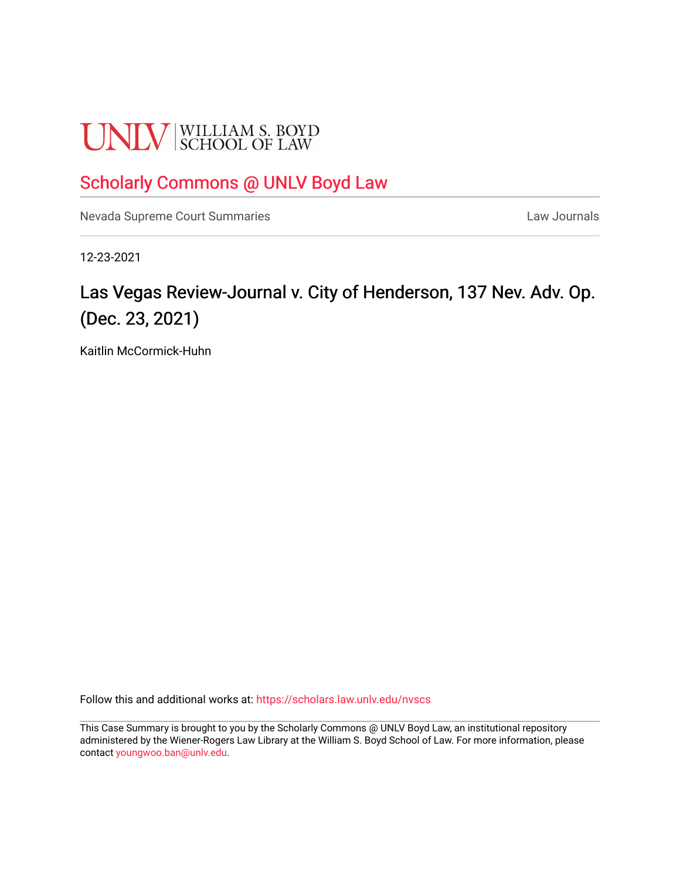# **UNLV** SCHOOL OF LAW

## [Scholarly Commons @ UNLV Boyd Law](https://scholars.law.unlv.edu/)

[Nevada Supreme Court Summaries](https://scholars.law.unlv.edu/nvscs) **Law Journals** Law Journals

12-23-2021

# Las Vegas Review-Journal v. City of Henderson, 137 Nev. Adv. Op. (Dec. 23, 2021)

Kaitlin McCormick-Huhn

Follow this and additional works at: [https://scholars.law.unlv.edu/nvscs](https://scholars.law.unlv.edu/nvscs?utm_source=scholars.law.unlv.edu%2Fnvscs%2F1473&utm_medium=PDF&utm_campaign=PDFCoverPages)

This Case Summary is brought to you by the Scholarly Commons @ UNLV Boyd Law, an institutional repository administered by the Wiener-Rogers Law Library at the William S. Boyd School of Law. For more information, please contact [youngwoo.ban@unlv.edu](mailto:youngwoo.ban@unlv.edu).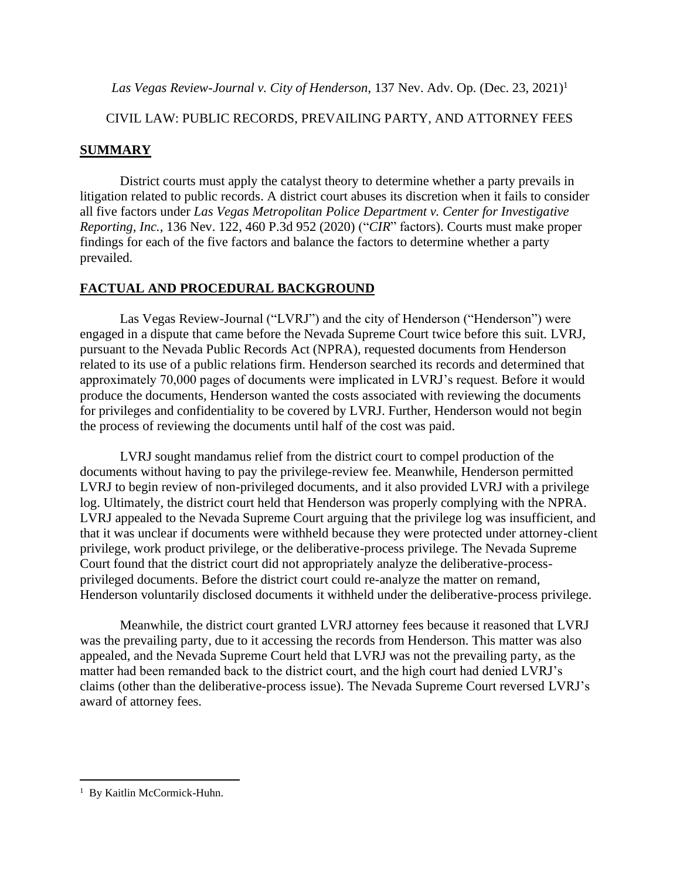*Las Vegas Review-Journal v. City of Henderson*, 137 Nev. Adv. Op. (Dec. 23, 2021)<sup>1</sup>

#### CIVIL LAW: PUBLIC RECORDS, PREVAILING PARTY, AND ATTORNEY FEES

### **SUMMARY**

District courts must apply the catalyst theory to determine whether a party prevails in litigation related to public records. A district court abuses its discretion when it fails to consider all five factors under *Las Vegas Metropolitan Police Department v. Center for Investigative Reporting, Inc.*, 136 Nev. 122, 460 P.3d 952 (2020) ("*CIR*" factors). Courts must make proper findings for each of the five factors and balance the factors to determine whether a party prevailed.

## **FACTUAL AND PROCEDURAL BACKGROUND**

Las Vegas Review-Journal ("LVRJ") and the city of Henderson ("Henderson") were engaged in a dispute that came before the Nevada Supreme Court twice before this suit. LVRJ, pursuant to the Nevada Public Records Act (NPRA), requested documents from Henderson related to its use of a public relations firm. Henderson searched its records and determined that approximately 70,000 pages of documents were implicated in LVRJ's request. Before it would produce the documents, Henderson wanted the costs associated with reviewing the documents for privileges and confidentiality to be covered by LVRJ. Further, Henderson would not begin the process of reviewing the documents until half of the cost was paid.

LVRJ sought mandamus relief from the district court to compel production of the documents without having to pay the privilege-review fee. Meanwhile, Henderson permitted LVRJ to begin review of non-privileged documents, and it also provided LVRJ with a privilege log. Ultimately, the district court held that Henderson was properly complying with the NPRA. LVRJ appealed to the Nevada Supreme Court arguing that the privilege log was insufficient, and that it was unclear if documents were withheld because they were protected under attorney-client privilege, work product privilege, or the deliberative-process privilege. The Nevada Supreme Court found that the district court did not appropriately analyze the deliberative-processprivileged documents. Before the district court could re-analyze the matter on remand, Henderson voluntarily disclosed documents it withheld under the deliberative-process privilege.

Meanwhile, the district court granted LVRJ attorney fees because it reasoned that LVRJ was the prevailing party, due to it accessing the records from Henderson. This matter was also appealed, and the Nevada Supreme Court held that LVRJ was not the prevailing party, as the matter had been remanded back to the district court, and the high court had denied LVRJ's claims (other than the deliberative-process issue). The Nevada Supreme Court reversed LVRJ's award of attorney fees.

<sup>&</sup>lt;sup>1</sup> By Kaitlin McCormick-Huhn.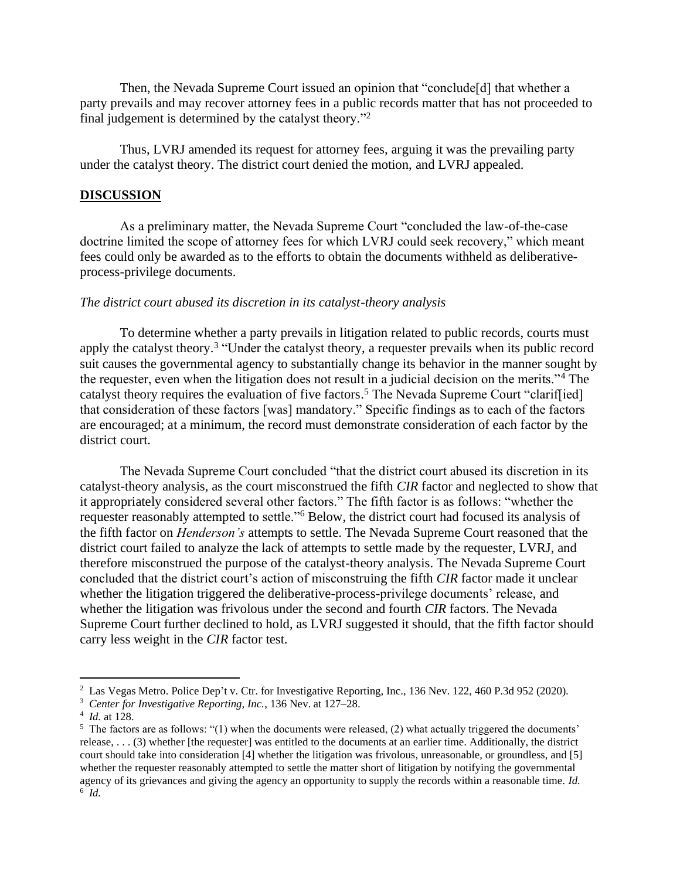Then, the Nevada Supreme Court issued an opinion that "conclude[d] that whether a party prevails and may recover attorney fees in a public records matter that has not proceeded to final judgement is determined by the catalyst theory."<sup>2</sup>

Thus, LVRJ amended its request for attorney fees, arguing it was the prevailing party under the catalyst theory. The district court denied the motion, and LVRJ appealed.

#### **DISCUSSION**

As a preliminary matter, the Nevada Supreme Court "concluded the law-of-the-case doctrine limited the scope of attorney fees for which LVRJ could seek recovery," which meant fees could only be awarded as to the efforts to obtain the documents withheld as deliberativeprocess-privilege documents.

#### *The district court abused its discretion in its catalyst-theory analysis*

To determine whether a party prevails in litigation related to public records, courts must apply the catalyst theory.<sup>3</sup> "Under the catalyst theory, a requester prevails when its public record suit causes the governmental agency to substantially change its behavior in the manner sought by the requester, even when the litigation does not result in a judicial decision on the merits."<sup>4</sup> The catalyst theory requires the evaluation of five factors.<sup>5</sup> The Nevada Supreme Court "clariffied] that consideration of these factors [was] mandatory." Specific findings as to each of the factors are encouraged; at a minimum, the record must demonstrate consideration of each factor by the district court.

The Nevada Supreme Court concluded "that the district court abused its discretion in its catalyst-theory analysis, as the court misconstrued the fifth *CIR* factor and neglected to show that it appropriately considered several other factors." The fifth factor is as follows: "whether the requester reasonably attempted to settle."<sup>6</sup> Below, the district court had focused its analysis of the fifth factor on *Henderson's* attempts to settle. The Nevada Supreme Court reasoned that the district court failed to analyze the lack of attempts to settle made by the requester, LVRJ, and therefore misconstrued the purpose of the catalyst-theory analysis. The Nevada Supreme Court concluded that the district court's action of misconstruing the fifth *CIR* factor made it unclear whether the litigation triggered the deliberative-process-privilege documents' release, and whether the litigation was frivolous under the second and fourth *CIR* factors. The Nevada Supreme Court further declined to hold, as LVRJ suggested it should, that the fifth factor should carry less weight in the *CIR* factor test.

<sup>&</sup>lt;sup>2</sup> Las Vegas Metro. Police Dep't v. Ctr. for Investigative Reporting, Inc., 136 Nev. 122, 460 P.3d 952 (2020).

<sup>3</sup> *Center for Investigative Reporting, Inc.*, 136 Nev. at 127–28.

<sup>4</sup> *Id.* at 128.

<sup>&</sup>lt;sup>5</sup> The factors are as follows: "(1) when the documents were released, (2) what actually triggered the documents' release, . . . (3) whether [the requester] was entitled to the documents at an earlier time. Additionally, the district court should take into consideration [4] whether the litigation was frivolous, unreasonable, or groundless, and [5] whether the requester reasonably attempted to settle the matter short of litigation by notifying the governmental agency of its grievances and giving the agency an opportunity to supply the records within a reasonable time. *Id.* 6 *Id.*